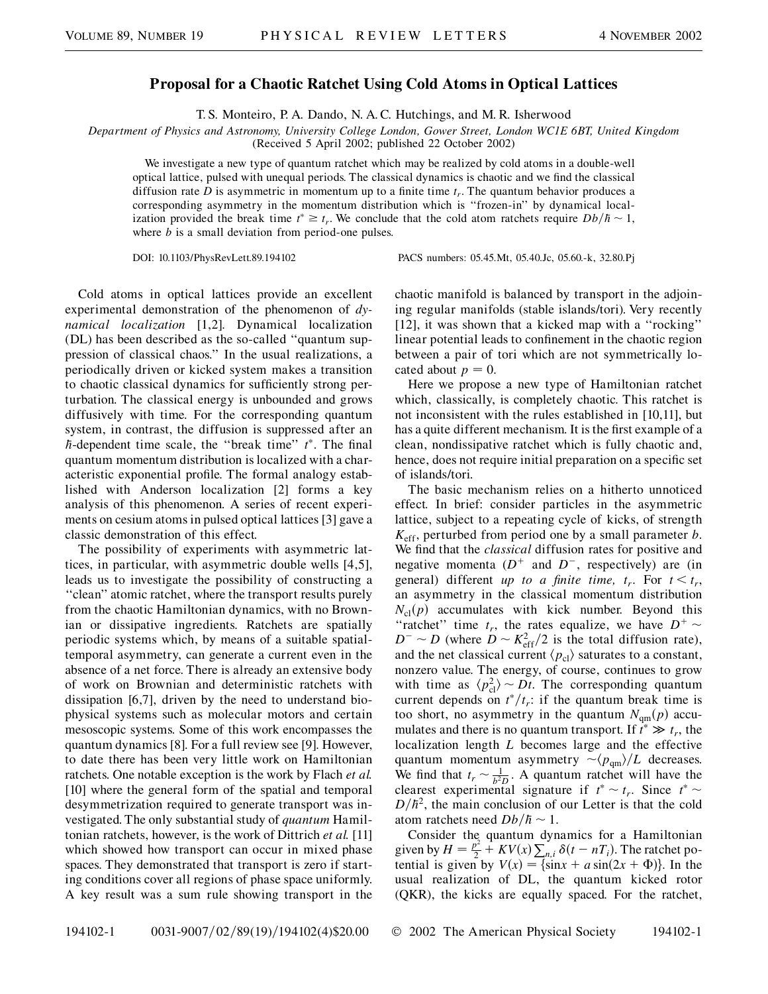## **Proposal for a Chaotic Ratchet Using Cold Atoms in Optical Lattices**

T. S. Monteiro, P. A. Dando, N. A. C. Hutchings, and M. R. Isherwood

*Department of Physics and Astronomy, University College London, Gower Street, London WC1E 6BT, United Kingdom*

(Received 5 April 2002; published 22 October 2002)

We investigate a new type of quantum ratchet which may be realized by cold atoms in a double-well optical lattice, pulsed with unequal periods. The classical dynamics is chaotic and we find the classical diffusion rate *D* is asymmetric in momentum up to a finite time  $t_r$ . The quantum behavior produces a corresponding asymmetry in the momentum distribution which is ''frozen-in'' by dynamical localization provided the break time  $t^* \geq t_r$ . We conclude that the cold atom ratchets require  $Db/\hbar \sim 1$ , where *b* is a small deviation from period-one pulses.

DOI: 10.1103/PhysRevLett.89.194102 PACS numbers: 05.45.Mt, 05.40.Jc, 05.60.-k, 32.80.Pj

Cold atoms in optical lattices provide an excellent experimental demonstration of the phenomenon of *dynamical localization* [1,2]. Dynamical localization (DL) has been described as the so-called ''quantum suppression of classical chaos.'' In the usual realizations, a periodically driven or kicked system makes a transition to chaotic classical dynamics for sufficiently strong perturbation. The classical energy is unbounded and grows diffusively with time. For the corresponding quantum system, in contrast, the diffusion is suppressed after an *h*-dependent time scale, the ''break time'' *t* . The final quantum momentum distribution is localized with a characteristic exponential profile. The formal analogy established with Anderson localization [2] forms a key analysis of this phenomenon. A series of recent experiments on cesium atoms in pulsed optical lattices [3] gave a classic demonstration of this effect.

The possibility of experiments with asymmetric lattices, in particular, with asymmetric double wells [4,5], leads us to investigate the possibility of constructing a ''clean'' atomic ratchet, where the transport results purely from the chaotic Hamiltonian dynamics, with no Brownian or dissipative ingredients. Ratchets are spatially periodic systems which, by means of a suitable spatialtemporal asymmetry, can generate a current even in the absence of a net force. There is already an extensive body of work on Brownian and deterministic ratchets with dissipation [6,7], driven by the need to understand biophysical systems such as molecular motors and certain mesoscopic systems. Some of this work encompasses the quantum dynamics [8]. For a full review see [9]. However, to date there has been very little work on Hamiltonian ratchets. One notable exception is the work by Flach *et al.* [10] where the general form of the spatial and temporal desymmetrization required to generate transport was investigated. The only substantial study of *quantum* Hamiltonian ratchets, however, is the work of Dittrich *et al.* [11] which showed how transport can occur in mixed phase spaces. They demonstrated that transport is zero if starting conditions cover all regions of phase space uniformly. A key result was a sum rule showing transport in the chaotic manifold is balanced by transport in the adjoining regular manifolds (stable islands/tori). Very recently [12], it was shown that a kicked map with a "rocking" linear potential leads to confinement in the chaotic region between a pair of tori which are not symmetrically located about  $p = 0$ .

Here we propose a new type of Hamiltonian ratchet which, classically, is completely chaotic. This ratchet is not inconsistent with the rules established in [10,11], but has a quite different mechanism. It is the first example of a clean, nondissipative ratchet which is fully chaotic and, hence, does not require initial preparation on a specific set of islands/tori.

The basic mechanism relies on a hitherto unnoticed effect. In brief: consider particles in the asymmetric lattice, subject to a repeating cycle of kicks, of strength *K*eff, perturbed from period one by a small parameter *b*. We find that the *classical* diffusion rates for positive and negative momenta  $(D^+$  and  $D^-$ , respectively) are (in general) different *up to a finite time,*  $t_r$ . For  $t < t_r$ , an asymmetry in the classical momentum distribution  $N<sub>cl</sub>(p)$  accumulates with kick number. Beyond this "ratchet" time  $t_r$ , the rates equalize, we have  $D^+$  ~  $D^{-} \sim D$  (where  $D \sim K_{\text{eff}}^2/2$  is the total diffusion rate), and the net classical current  $\langle p_{\rm cl} \rangle$  saturates to a constant, nonzero value. The energy, of course, continues to grow with time as  $\langle p_{\rm cl}^2 \rangle \sim Dt$ . The corresponding quantum current depends on  $t^*/t_r$ : if the quantum break time is too short, no asymmetry in the quantum  $N_{qm}(p)$  accumulates and there is no quantum transport. If  $t^* \gg t_r$ , the localization length *L* becomes large and the effective quantum momentum asymmetry  $\sim \langle p_{qm} \rangle / L$  decreases. We find that  $t_r \sim \frac{1}{b^2 D}$ . A quantum ratchet will have the clearest experimental signature if  $t^* \sim t_r$ . Since  $t^* \sim$  $D/\hbar^2$ , the main conclusion of our Letter is that the cold atom ratchets need  $Db/\hbar \sim 1$ .

Consider the quantum dynamics for a Hamiltonian given by  $H = \frac{p^2}{2} + KV(x) \sum_{n,i} \delta(t - nT_i)$ . The ratchet potential is given by  $V(x) = {\sin x + a \sin(2x + \Phi)}$ . In the usual realization of DL, the quantum kicked rotor (QKR), the kicks are equally spaced. For the ratchet,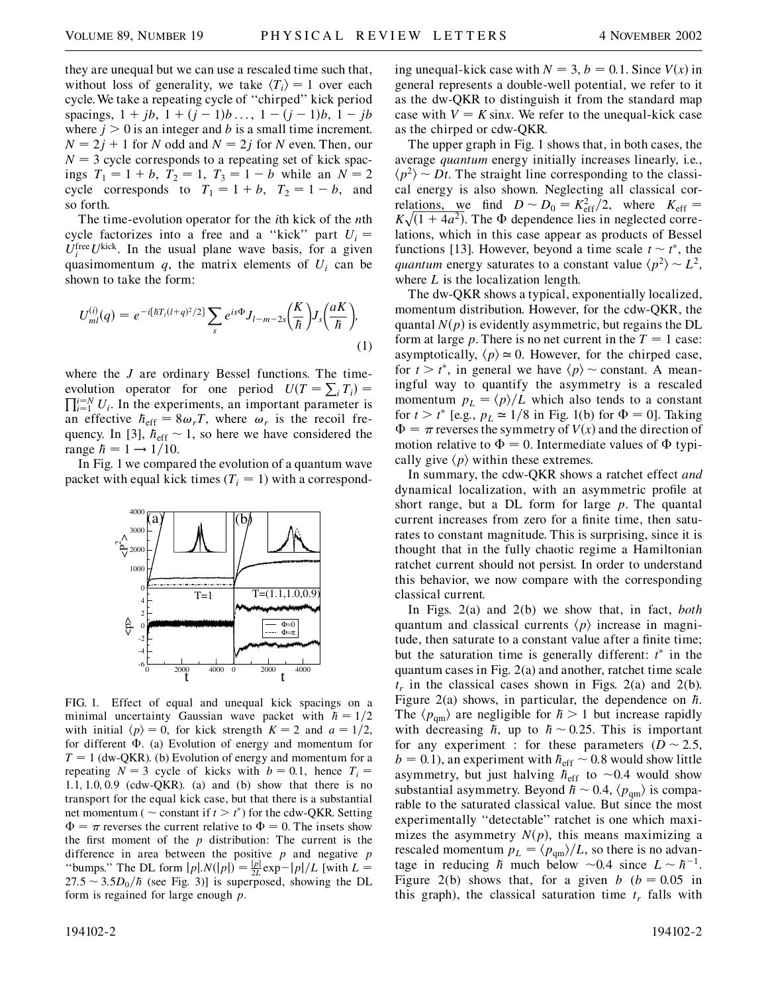they are unequal but we can use a rescaled time such that, without loss of generality, we take  $\langle T_i \rangle = 1$  over each cycle.We take a repeating cycle of ''chirped'' kick period spacings,  $1 + jb$ ,  $1 + (j - 1)b$ ...,  $1 - (j - 1)b$ ,  $1 - jb$ where  $j > 0$  is an integer and *b* is a small time increment.  $N = 2j + 1$  for *N* odd and  $N = 2j$  for *N* even. Then, our  $N = 3$  cycle corresponds to a repeating set of kick spacings  $T_1 = 1 + b$ ,  $T_2 = 1$ ,  $T_3 = 1 - b$  while an  $N = 2$ cycle corresponds to  $T_1 = 1 + b$ ,  $T_2 = 1 - b$ , and so forth.

The time-evolution operator for the *i*th kick of the *n*th cycle factorizes into a free and a "kick" part  $U_i$  =  $U_i^{\text{free}} U^{\text{kick}}$ . In the usual plane wave basis, for a given quasimomentum  $q$ , the matrix elements of  $U_i$  can be shown to take the form:

$$
U_{ml}^{(i)}(q) = e^{-i[\hbar T_i (l+q)^2/2]} \sum_{s} e^{is\Phi} J_{l-m-2s} \left(\frac{K}{\hbar}\right) J_s \left(\frac{aK}{\hbar}\right),\tag{1}
$$

where the *J* are ordinary Bessel functions. The timeevolution operator for one period  $U(T = \sum_i T_i)$  $\prod_{i=1}^{i=N} U_i$ . In the experiments, an important parameter is an effective  $h_{\text{eff}} = 8\omega_r T$ , where  $\omega_r$  is the recoil frequency. In [3],  $h_{\text{eff}} \sim 1$ , so here we have considered the range  $\hbar = 1 \rightarrow 1/10$ .

In Fig. 1 we compared the evolution of a quantum wave packet with equal kick times  $(T<sub>i</sub> = 1)$  with a correspond-



FIG. 1. Effect of equal and unequal kick spacings on a minimal uncertainty Gaussian wave packet with  $h = 1/2$ with initial  $\langle p \rangle = 0$ , for kick strength  $K = 2$  and  $a = 1/2$ , for different  $\Phi$ . (a) Evolution of energy and momentum for  $T = 1$  (dw-QKR). (b) Evolution of energy and momentum for a repeating  $N = 3$  cycle of kicks with  $b = 0.1$ , hence  $T_i =$ 1*:*1*;* 1*:*0*;* 0*:*9 (cdw-QKR). (a) and (b) show that there is no transport for the equal kick case, but that there is a substantial net momentum ( $\sim$  constant if  $t > t^*$ ) for the cdw-QKR. Setting  $\Phi = \pi$  reverses the current relative to  $\Phi = 0$ . The insets show the first moment of the *p* distribution: The current is the difference in area between the positive *p* and negative *p* "bumps." The DL form  $|p|N(|p|) = \frac{|p|}{2L} \exp{-|p|}/L$  [with  $L =$  $27.5 \sim 3.5D_0/\hbar$  (see Fig. 3)] is superposed, showing the DL form is regained for large enough *p*.

ing unequal-kick case with  $N = 3$ ,  $b = 0.1$ . Since  $V(x)$  in general represents a double-well potential, we refer to it as the dw-QKR to distinguish it from the standard map case with  $V = K \sin x$ . We refer to the unequal-kick case as the chirped or cdw-QKR.

The upper graph in Fig. 1 shows that, in both cases, the average *quantum* energy initially increases linearly, i.e.,  $\langle p^2 \rangle \sim Dt$ . The straight line corresponding to the classical energy is also shown. Neglecting all classical correlations, we find  $D \sim D_0 = K_{\text{eff}}^2/2$ , where  $K_{\text{eff}} =$ relations, we find  $D \sim D_0 - \kappa_{eff}/2$ , where  $\kappa_{eff} - K \sqrt{(1 + 4a^2)}$ . The  $\Phi$  dependence lies in neglected correlations, which in this case appear as products of Bessel functions [13]. However, beyond a time scale  $t \sim t^*$ , the *quantum* energy saturates to a constant value  $\langle p^2 \rangle \sim L^2$ , where *L* is the localization length.

The dw-QKR shows a typical, exponentially localized, momentum distribution. However, for the cdw-QKR, the quantal  $N(p)$  is evidently asymmetric, but regains the DL form at large *p*. There is no net current in the  $T = 1$  case: asymptotically,  $\langle p \rangle \approx 0$ . However, for the chirped case, for  $t > t^*$ , in general we have  $\langle p \rangle \sim$  constant. A meaningful way to quantify the asymmetry is a rescaled momentum  $p_L = \langle p \rangle / L$  which also tends to a constant for  $t > t^*$  [e.g.,  $p_L \approx 1/8$  in Fig. 1(b) for  $\Phi = 0$ ]. Taking  $\Phi = \pi$  reverses the symmetry of *V*(*x*) and the direction of motion relative to  $\Phi = 0$ . Intermediate values of  $\Phi$  typically give  $\langle p \rangle$  within these extremes.

In summary, the cdw-QKR shows a ratchet effect *and* dynamical localization, with an asymmetric profile at short range, but a DL form for large *p*. The quantal current increases from zero for a finite time, then saturates to constant magnitude. This is surprising, since it is thought that in the fully chaotic regime a Hamiltonian ratchet current should not persist. In order to understand this behavior, we now compare with the corresponding classical current.

In Figs. 2(a) and 2(b) we show that, in fact, *both* quantum and classical currents  $\langle p \rangle$  increase in magnitude, then saturate to a constant value after a finite time; but the saturation time is generally different:  $t^*$  in the quantum cases in Fig. 2(a) and another, ratchet time scale  $t_r$  in the classical cases shown in Figs. 2(a) and 2(b). Figure 2(a) shows, in particular, the dependence on *h*. The  $\langle p_{\rm qm} \rangle$  are negligible for  $\hbar > 1$  but increase rapidly with decreasing  $\hbar$ , up to  $\hbar \sim 0.25$ . This is important for any experiment : for these parameters  $(D \sim 2.5,$  $b = 0.1$ , an experiment with  $h_{\text{eff}} \sim 0.8$  would show little asymmetry, but just halving  $h_{\text{eff}}$  to ~0.4 would show substantial asymmetry. Beyond  $\hbar \sim 0.4$ ,  $\langle p_{\rm qm} \rangle$  is comparable to the saturated classical value. But since the most experimentally ''detectable'' ratchet is one which maximizes the asymmetry  $N(p)$ , this means maximizing a rescaled momentum  $p_L = \langle p_{qm} \rangle / L$ , so there is no advantage in reducing  $\hbar$  much below  $\sim 0.4$  since  $L \sim \hbar^{-1}$ . Figure 2(b) shows that, for a given *b*  $(b = 0.05$  in this graph), the classical saturation time  $t_r$  falls with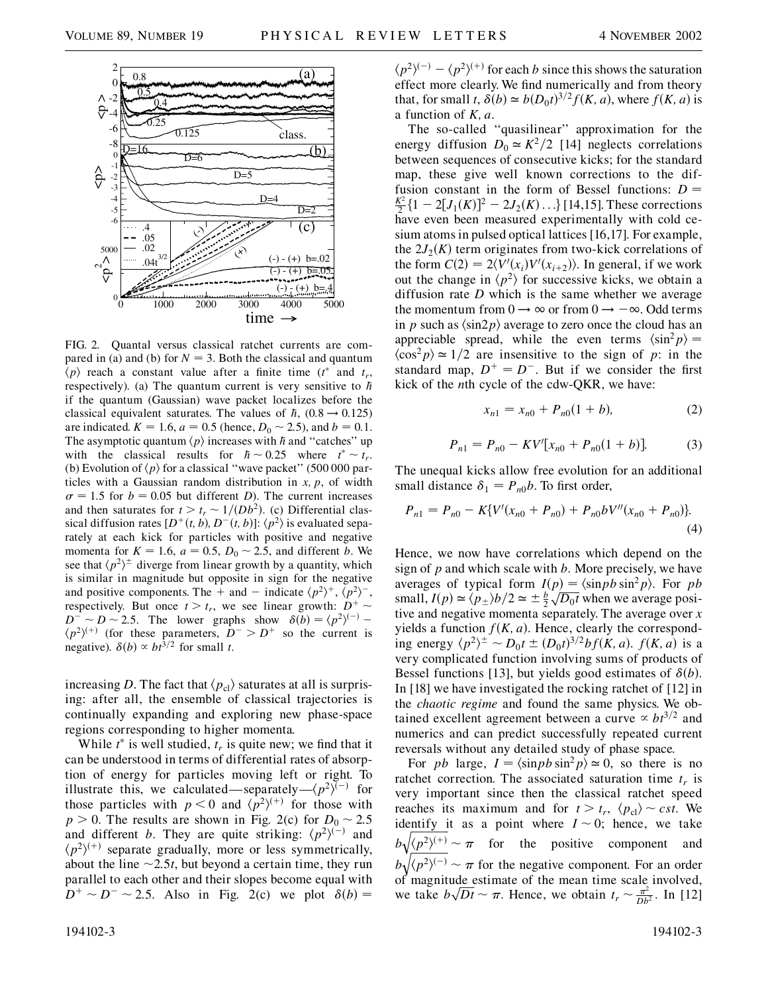

FIG. 2. Quantal versus classical ratchet currents are compared in (a) and (b) for  $N = 3$ . Both the classical and quantum  $\overline{\langle p \rangle}$  reach a constant value after a finite time ( $t^*$  and  $t_r$ , respectively). (a) The quantum current is very sensitive to *h* if the quantum (Gaussian) wave packet localizes before the classical equivalent saturates. The values of  $h$ ,  $(0.8 \rightarrow 0.125)$ are indicated.  $K = 1.6$ ,  $a = 0.5$  (hence,  $D_0 \sim 2.5$ ), and  $b = 0.1$ . The asymptotic quantum  $\langle p \rangle$  increases with *h* and "catches" up with the classical results for  $\hbar \sim 0.25$  where  $t^* \sim t_r$ . (b) Evolution of  $\langle p \rangle$  for a classical "wave packet" (500 000 particles with a Gaussian random distribution in *x; p*, of width  $\sigma = 1.5$  for  $b = 0.05$  but different *D*). The current increases and then saturates for  $t > t_r \sim 1/(Db^2)$ . (c) Differential classical diffusion rates  $[D^+(t, b), D^-(t, b)]$ :  $\langle p^2 \rangle$  is evaluated separately at each kick for particles with positive and negative momenta for  $K = 1.6$ ,  $a = 0.5$ ,  $D_0 \sim 2.5$ , and different *b*. We see that  $\langle p^2 \rangle^{\pm}$  diverge from linear growth by a quantity, which is similar in magnitude but opposite in sign for the negative and positive components. The + and - indicate  $\langle p^2 \rangle^+, \langle p^2 \rangle^-,$ respectively. But once  $t > t_r$ , we see linear growth:  $D^+ \sim$  $D^{-} \sim D \sim 2.5$ . The lower graphs show  $\delta(b) = \langle p^2 \rangle^{(-)}$  $\langle p^2 \rangle^{(+)}$  (for these parameters,  $D^- > D^+$  so the current is negative).  $\delta(b) \propto b t^{3/2}$  for small *t*.

increasing *D*. The fact that  $\langle p_{\rm cl} \rangle$  saturates at all is surprising: after all, the ensemble of classical trajectories is continually expanding and exploring new phase-space regions corresponding to higher momenta.

While  $t^*$  is well studied,  $t_r$  is quite new; we find that it can be understood in terms of differential rates of absorption of energy for particles moving left or right. To illustrate this, we calculated—separately— $\langle p^2 \rangle^{\bar{(-)}}$  for those particles with  $p < 0$  and  $\langle p^2 \rangle^{(+)}$  for those with  $p > 0$ . The results are shown in Fig. 2(c) for  $D_0 \sim 2.5$ and different *b*. They are quite striking:  $\langle p^2 \rangle^{(-)}$  and  $\langle p^2 \rangle^{(+)}$  separate gradually, more or less symmetrically, about the line  $\sim$ 2.5*t*, but beyond a certain time, they run parallel to each other and their slopes become equal with  $D^+ \sim D^- \sim 2.5$ . Also in Fig. 2(c) we plot  $\delta(b) =$ 

 $\langle p^2 \rangle^{(-)} - \langle p^2 \rangle^{(+)}$  for each *b* since this shows the saturation effect more clearly. We find numerically and from theory that, for small *t*,  $\delta(b) \simeq b(D_0 t)^{3/2} f(K, a)$ , where  $f(K, a)$  is a function of *K; a*.

The so-called ''quasilinear'' approximation for the energy diffusion  $D_0 \simeq K^2/2$  [14] neglects correlations between sequences of consecutive kicks; for the standard map, these give well known corrections to the diffusion constant in the form of Bessel functions:  $D =$  $\frac{K^2}{2}$ {1 - 2[*J*<sub>1</sub>(*K*)]<sup>2</sup> - 2*J*<sub>2</sub>(*K*)...} [14,15]. These corrections have even been measured experimentally with cold cesium atoms in pulsed optical lattices [16,17]. For example, the  $2J_2(K)$  term originates from two-kick correlations of the form  $C(2) = 2\langle V'(x_i)V'(x_{i+2})\rangle$ . In general, if we work out the change in  $\langle p^2 \rangle$  for successive kicks, we obtain a diffusion rate *D* which is the same whether we average the momentum from  $0 \rightarrow \infty$  or from  $0 \rightarrow -\infty$ . Odd terms in *p* such as  $\langle \sin 2p \rangle$  average to zero once the cloud has an appreciable spread, while the even terms  $\langle \sin^2 p \rangle =$  $\langle \cos^2 p \rangle \approx 1/2$  are insensitive to the sign of *p*: in the standard map,  $D^+ = D^-$ . But if we consider the first kick of the *n*th cycle of the cdw-QKR, we have:

$$
x_{n1} = x_{n0} + P_{n0}(1 + b), \tag{2}
$$

$$
P_{n1} = P_{n0} - KV'[x_{n0} + P_{n0}(1 + b)].
$$
 (3)

The unequal kicks allow free evolution for an additional small distance  $\delta_1 = P_{n0}b$ . To first order,

$$
P_{n1} = P_{n0} - K\{V'(x_{n0} + P_{n0}) + P_{n0}bV''(x_{n0} + P_{n0})\}.
$$
\n(4)

Hence, we now have correlations which depend on the sign of *p* and which scale with *b*. More precisely, we have averages of typical form  $I(p) = \langle \sin pb \sin^2 p \rangle$ . For *pb* small,  $I(p) \simeq \langle p_{\pm} \rangle b/2 \simeq \pm \frac{b}{2}$  $p_j = \frac{\sin p \sin^2 p}{\cos^2 p \sin^2 p}$ . For positive and negative momenta separately. The average over *x* yields a function  $f(K, a)$ . Hence, clearly the corresponding energy  $\langle p^2 \rangle^{\pm} \sim D_0 t \pm (D_0 t)^{3/2} b f(K, a)$ .  $f(K, a)$  is a very complicated function involving sums of products of Bessel functions [13], but yields good estimates of  $\delta(b)$ . In [18] we have investigated the rocking ratchet of [12] in the *chaotic regime* and found the same physics. We obtained excellent agreement between a curve  $\propto bt^{3/2}$  and numerics and can predict successfully repeated current reversals without any detailed study of phase space.

For *pb* large,  $I = \langle \sin pb \sin^2 p \rangle \approx 0$ , so there is no ratchet correction. The associated saturation time  $t_r$  is very important since then the classical ratchet speed reaches its maximum and for  $t > t_r$ ,  $\langle p_c \rangle \sim cst$ . We identify it as a point where  $I \sim 0$ ; hence, we take  $b\sqrt{\frac{(p^2)^{(+)}}{p^2}} \sim \pi$  for the positive component and  $b\sqrt{\langle p^2 \rangle^{(-)}} \sim \pi$  for the negative component. For an order of magnitude estimate of the mean time scale involved, or magnitude estimate or the mean time scale involved,<br>we take  $b\sqrt{Dt} \sim \pi$ . Hence, we obtain  $t_r \sim \frac{\pi^2}{Db^2}$ . In [12]